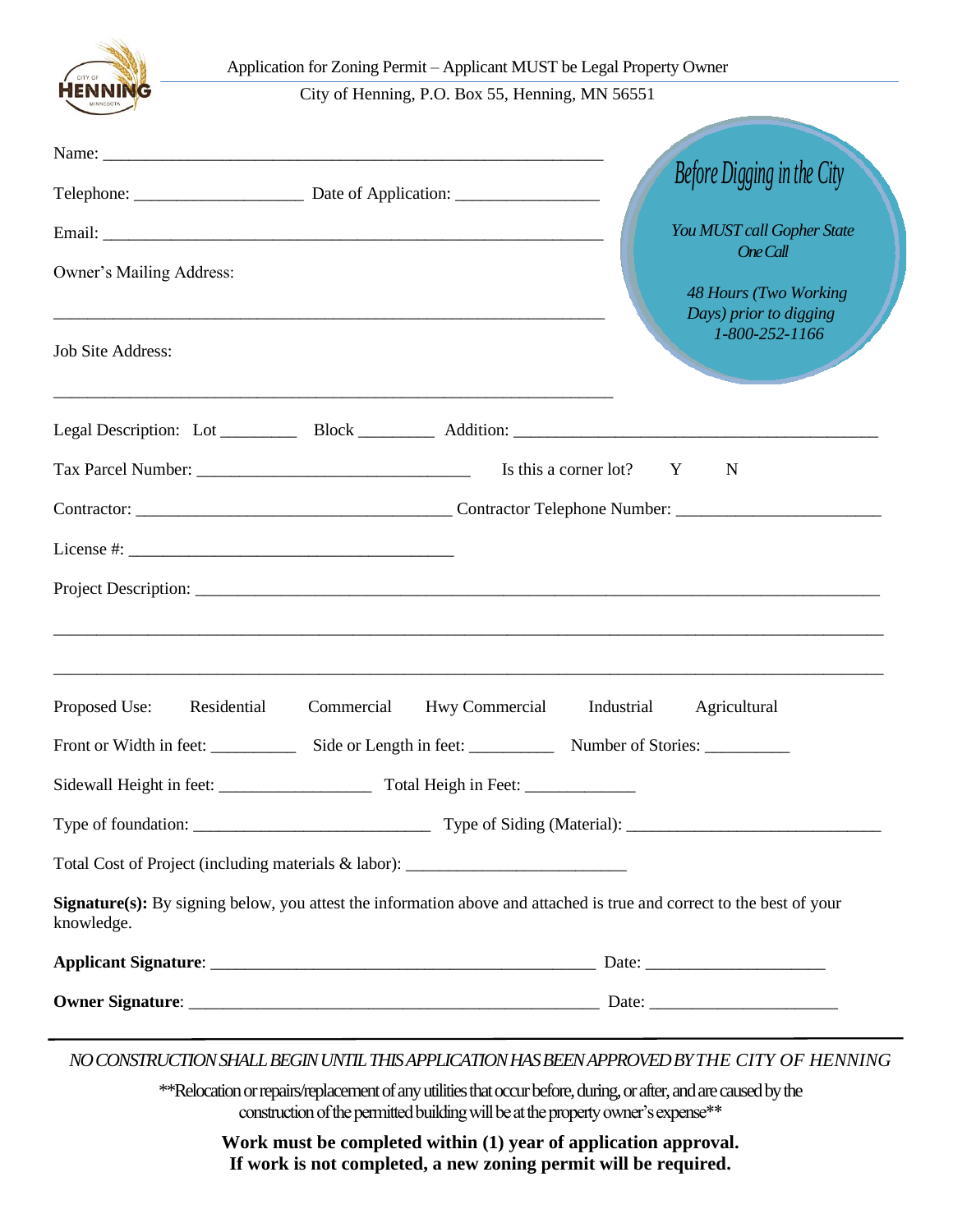

City of Henning, P.O. Box 55, Henning, MN 56551

|                              |                                                                                  | Before Digging in the City                                                                                            |
|------------------------------|----------------------------------------------------------------------------------|-----------------------------------------------------------------------------------------------------------------------|
|                              |                                                                                  | You MUST call Gopher State                                                                                            |
| Owner's Mailing Address:     |                                                                                  | <b>One Call</b><br><b>48 Hours (Two Working</b><br>Days) prior to digging<br>1-800-252-1166                           |
| <b>Job Site Address:</b>     | <u> 1989 - Johann Stoff, amerikansk politiker (d. 1989)</u>                      |                                                                                                                       |
|                              |                                                                                  |                                                                                                                       |
|                              | Is this a corner lot? Y<br>N                                                     |                                                                                                                       |
|                              |                                                                                  |                                                                                                                       |
|                              |                                                                                  |                                                                                                                       |
|                              |                                                                                  |                                                                                                                       |
| Proposed Use:<br>Residential | Commercial<br>Hwy Commercial Industrial                                          | Agricultural                                                                                                          |
|                              | Front or Width in feet: Side or Length in feet: Number of Stories:               |                                                                                                                       |
|                              |                                                                                  |                                                                                                                       |
|                              |                                                                                  |                                                                                                                       |
|                              | Total Cost of Project (including materials & labor): ___________________________ |                                                                                                                       |
| knowledge.                   |                                                                                  | Signature(s): By signing below, you attest the information above and attached is true and correct to the best of your |
|                              |                                                                                  |                                                                                                                       |
|                              |                                                                                  |                                                                                                                       |

*NO CONSTRUCTION SHALL BEGIN UNTIL THIS APPLICATION HAS BEEN APPROVED BYTHE CITY OF HENNING*

\*\*Relocation or repairs/replacement of any utilities that occur before, during, or after, and are caused by the construction of the permitted building will be at the property owner's expense\*\*

**Work must be completed within (1) year of application approval. If work is not completed, a new zoning permit will be required.**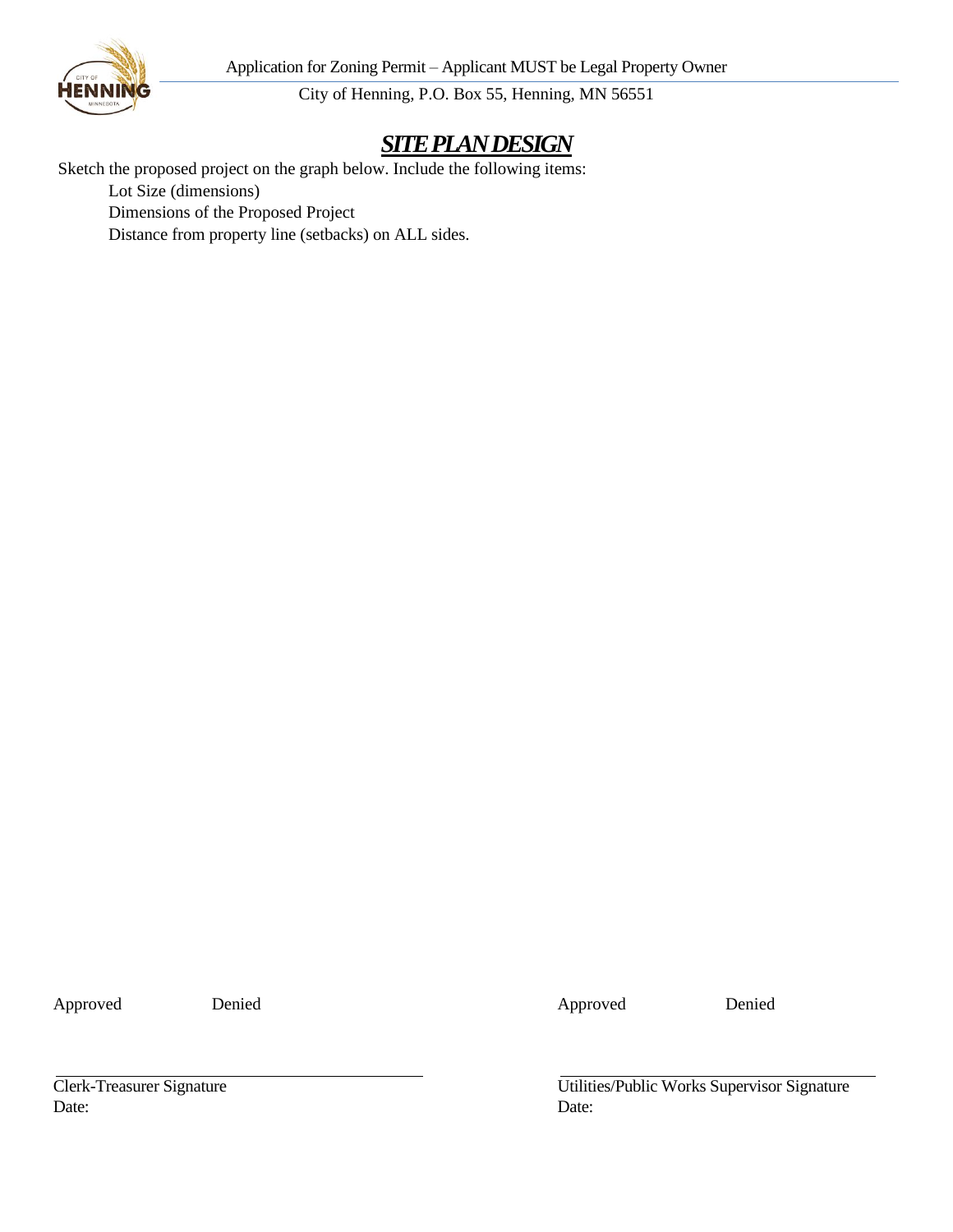Application for Zoning Permit – Applicant MUST be Legal Property Owner



City of Henning, P.O. Box 55, Henning, MN 56551

## *SITEPLAN DESIGN*

Sketch the proposed project on the graph below. Include the following items:

Lot Size (dimensions)

Dimensions of the Proposed Project

Distance from property line (setbacks) on ALL sides.

Approved Denied Denied Approved Denied

Date: Date:

Clerk-Treasurer Signature Utilities/Public Works Supervisor Signature